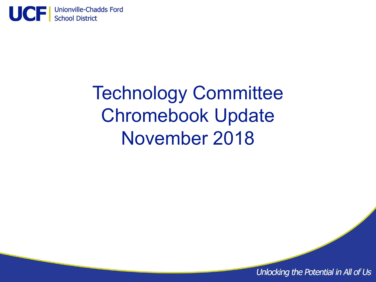

# Technology Committee Chromebook Update November 2018

Unlocking the Potential in All of Us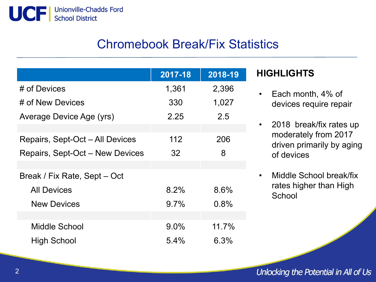

## Chromebook Break/Fix Statistics

|                                 | 2017-18 | 2018-19 |
|---------------------------------|---------|---------|
| # of Devices                    | 1,361   | 2,396   |
| # of New Devices                | 330     | 1,027   |
| Average Device Age (yrs)        | 2.25    | 2.5     |
|                                 |         |         |
| Repairs, Sept-Oct - All Devices | 112     | 206     |
| Repairs, Sept-Oct – New Devices | 32      | 8       |
|                                 |         |         |
| Break / Fix Rate, Sept – Oct    |         |         |
| <b>All Devices</b>              | 8.2%    | 8.6%    |
| <b>New Devices</b>              | $9.7\%$ | 0.8%    |
|                                 |         |         |
| Middle School                   | $9.0\%$ | 11.7%   |
| <b>High School</b>              | 5.4%    | 6.3%    |

#### **HIGHLIGHTS**

- Each month, 4% of devices require repair
- 2018 break/fix rates up moderately from 2017 driven primarily by aging of devices
- Middle School break/fix rates higher than High **School**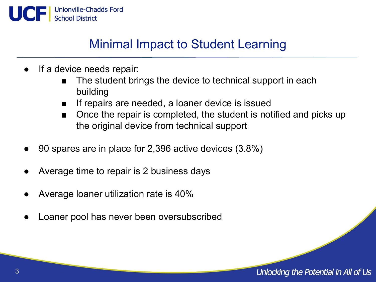

## Minimal Impact to Student Learning

- If a device needs repair:
	- The student brings the device to technical support in each building
	- If repairs are needed, a loaner device is issued
	- Once the repair is completed, the student is notified and picks up the original device from technical support
- 90 spares are in place for 2,396 active devices (3.8%)
- Average time to repair is 2 business days
- Average loaner utilization rate is 40%
- Loaner pool has never been oversubscribed